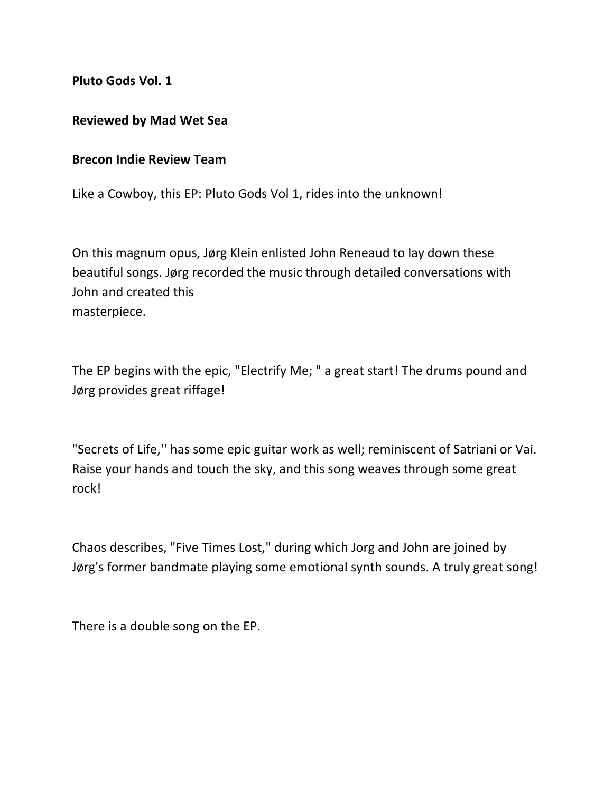**Pluto Gods Vol. 1**

## **Reviewed by Mad Wet Sea**

## **Brecon Indie Review Team**

Like a Cowboy, this EP: Pluto Gods Vol 1, rides into the unknown!

On this magnum opus, Jørg Klein enlisted John Reneaud to lay down these beautiful songs. Jørg recorded the music through detailed conversations with John and created this masterpiece.

The EP begins with the epic, "Electrify Me; " a great start! The drums pound and Jørg provides great riffage!

"Secrets of Life,'' has some epic guitar work as well; reminiscent of Satriani or Vai. Raise your hands and touch the sky, and this song weaves through some great rock!

Chaos describes, "Five Times Lost," during which Jorg and John are joined by Jørg's former bandmate playing some emotional synth sounds. A truly great song!

There is a double song on the EP.